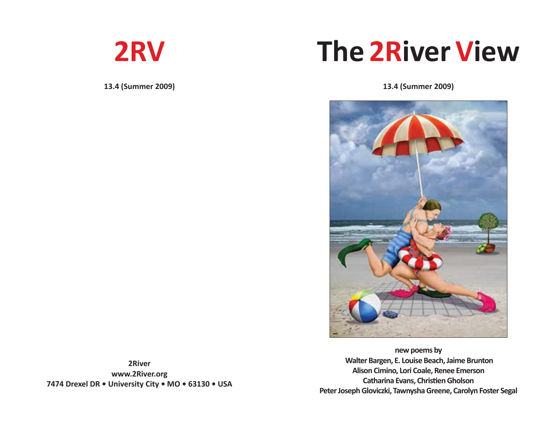

**13.4 (Summer 2009)**

# **The 2River View**

**13.4 (Summer 2009)**



**new poems by Walter Bargen, E. Louise Beach, Jaime Brunton Alison Cimino, Lori Coale, Renee Emerson Catharina Evans, Christi en Gholson Peter Joseph Gloviczki, Tawnysha Greene, Carolyn Foster Segal**

**2River www.2River.org 7474 Drexel DR • University City • MO • 63130 • USA**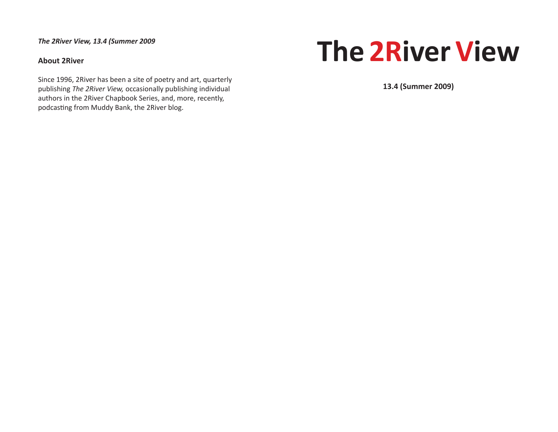*The 2River View, 13.4 (Summer 2009*

# **About 2River**

Since 1996, 2River has been a site of poetry and art, quarterly publishing *The 2River View,* occasionally publishing individual authors in the 2River Chapbook Series, and, more, recently, podcasting from Muddy Bank, the 2River blog.

# **The 2River View**

**13.4 (Summer 2009)**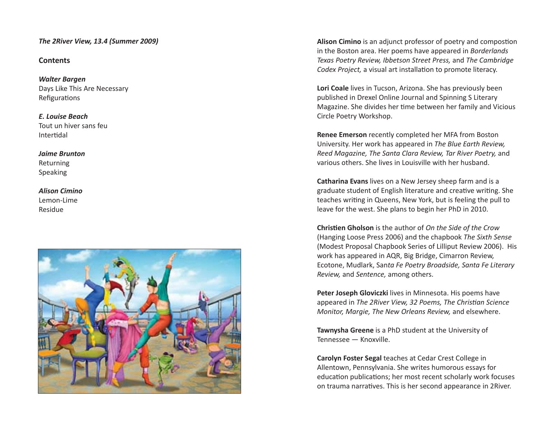### *The 2River View, 13.4 (Summer 2009)*

# **Contents**

*Walter Bargen* Days Like This Are Necessary **Refigurations** 

*E. Louise Beach* Tout un hiver sans feu **Intertidal** 

*Jaime Brunton* Returning Speaking

# *Alison Cimino* Lemon-Lime Residue

**Alison Cimino** is an adjunct professor of poetry and compostion in the Boston area. Her poems have appeared in *Borderlands Texas Poetry Review, Ibbetson Street Press,* and *The Cambridge Codex Project,* a visual art installation to promote literacy.

**Lori Coale** lives in Tucson, Arizona. She has previously been published in Drexel Online Journal and Spinning S Literary Magazine. She divides her time between her family and Vicious Circle Poetry Workshop.

**Renee Emerson** recently completed her MFA from Boston University. Her work has appeared in *The Blue Earth Review, Reed Magazine, The Santa Clara Review, Tar River Poetry,* and various others. She lives in Louisville with her husband.

**Catharina Evans** lives on a New Jersey sheep farm and is a graduate student of English literature and creative writing. She teaches writing in Queens, New York, but is feeling the pull to leave for the west. She plans to begin her PhD in 2010.

**Christi en Gholson** is the author of *On the Side of the Crow* (Hanging Loose Press 2006) and the chapbook *The Sixth Sense* (Modest Proposal Chapbook Series of Lilliput Review 2006). His work has appeared in AQR, Big Bridge, Cimarron Review, Ecotone, Mudlark, San*ta Fe Poetry Broadside, Santa Fe Literary Review,* and *Sentence,* among others.

**Peter Joseph Gloviczki** lives in Minnesota. His poems have appeared in *The 2River View, 32 Poems, The Christian Science Monitor, Margie, The New Orleans Review,* and elsewhere.

**Tawnysha Greene** is a PhD student at the University of Tennessee — Knoxville.

**Carolyn Foster Segal** teaches at Cedar Crest College in Allentown, Pennsylvania. She writes humorous essays for education publications; her most recent scholarly work focuses on trauma narratives. This is her second appearance in 2River.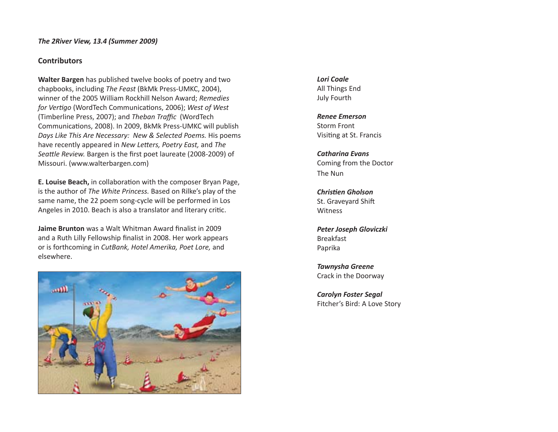### *The 2River View, 13.4 (Summer 2009)*

# **Contributors**

**Walter Bargen** has published twelve books of poetry and two chapbooks, including *The Feast* (BkMk Press-UMKC, 2004), winner of the 2005 William Rockhill Nelson Award; *Remedies for Vertigo* (WordTech Communications, 2006); West of West (Timberline Press, 2007); and *Theban Traffi c* (WordTech Communications, 2008). In 2009, BkMk Press-UMKC will publish *Days Like This Are Necessary: New & Selected Poems.* His poems have recently appeared in *New Letters, Poetry East,* and *The* Seattle Review. Bargen is the first poet laureate (2008-2009) of Missouri. (www.walterbargen.com)

**E. Louise Beach,** in collaboration with the composer Bryan Page, is the author of *The White Princess.* Based on Rilke's play of the same name, the 22 poem song-cycle will be performed in Los Angeles in 2010. Beach is also a translator and literary critic.

**Jaime Brunton** was a Walt Whitman Award finalist in 2009 and a Ruth Lilly Fellowship finalist in 2008. Her work appears or is forthcoming in *CutBank, Hotel Amerika, Poet Lore,* and elsewhere.



*Lori Coale* All Things End July Fourth

*Renee Emerson* Storm Front Visiting at St. Francis

*Catharina Evans* Coming from the Doctor The Nun

*Christi en Gholson* St. Graveyard Shift Witness

*Peter Joseph Gloviczki* Breakfast Paprika

*Tawnysha Greene* Crack in the Doorway

*Carolyn Foster Segal* Fitcher's Bird: A Love Story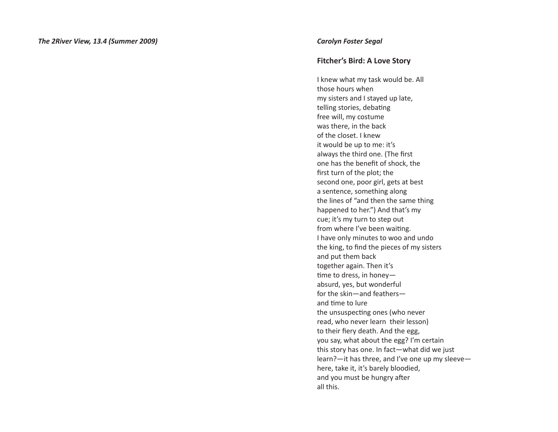# **Fitcher's Bird: A Love Story**

I knew what my task would be. All those hours when my sisters and I stayed up late, telling stories, debating free will, my costume was there, in the back of the closet. I knew it would be up to me: it's always the third one. (The first one has the benefit of shock, the first turn of the plot; the second one, poor girl, gets at best a sentence, something along the lines of "and then the same thing happened to her.") And that's my cue; it's my turn to step out from where I've been waiting. I have only minutes to woo and undo the king, to find the pieces of my sisters and put them back together again. Then it's time to dress, in honeyabsurd, yes, but wonderful for the skin—and feathers and time to lure the unsuspecting ones (who never read, who never learn their lesson) to their fiery death. And the egg, you say, what about the egg? I'm certain this story has one. In fact—what did we just learn?—it has three, and I've one up my sleeve here, take it, it's barely bloodied, and you must be hungry after all this.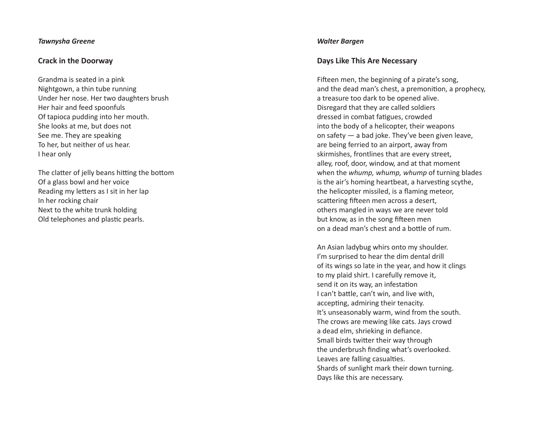### *Tawnysha Greene*

# **Crack in the Doorway**

Grandma is seated in a pink Nightgown, a thin tube running Under her nose. Her two daughters brush Her hair and feed spoonfuls Of tapioca pudding into her mouth. She looks at me, but does not See me. They are speaking To her, but neither of us hear. I hear only

The clatter of jelly beans hitting the bottom Of a glass bowl and her voice Reading my letters as I sit in her lap In her rocking chair Next to the white trunk holding Old telephones and plas ti c pearls.

#### *Walter Bargen*

# **Days Like This Are Necessary**

Fifteen men, the beginning of a pirate's song, and the dead man's chest, a premonition, a prophecy, a treasure too dark to be opened alive. Disregard that they are called soldiers dressed in combat fatigues, crowded into the body of a helicopter, their weapons on safety — a bad joke. They've been given leave, are being ferried to an airport, away from skirmishes, frontlines that are every street, alley, roof, door, window, and at that moment when the *whump, whump, whump* of turning blades is the air's homing heartbeat, a harvesting scythe, the helicopter missiled, is a flaming meteor, scattering fifteen men across a desert, others mangled in ways we are never told but know, as in the song fifteen men on a dead man's chest and a bo tt le of rum.

An Asian ladybug whirs onto my shoulder. I'm surprised to hear the dim dental drill of its wings so late in the year, and how it clings to my plaid shirt. I carefully remove it, send it on its way, an infestation I can't ba tt le, can't win, and live with, accepting, admiring their tenacity. It's unseasonably warm, wind from the south. The crows are mewing like cats. Jays crowd a dead elm, shrieking in defiance. Small birds twitter their way through the underbrush finding what's overlooked. Leaves are falling casualties. Shards of sunlight mark their down turning. Days like this are necessary.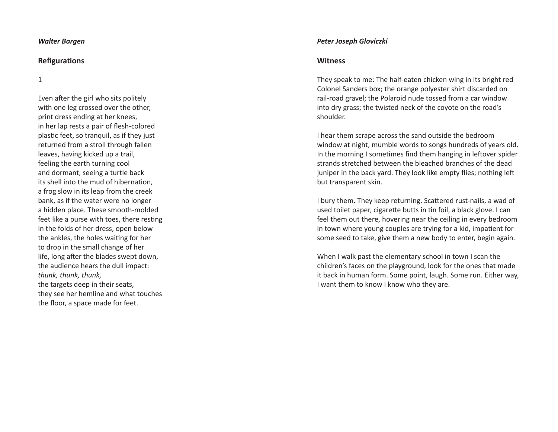#### *Walter Bargen*

#### **Re fi gura ti ons**

1

Even after the girl who sits politely with one leg crossed over the other, print dress ending at her knees, in her lap rests a pair of flesh-colored plastic feet, so tranquil, as if they just returned from a stroll through fallen leaves, having kicked up a trail, feeling the earth turning cool and dormant, seeing a turtle back its shell into the mud of hibernation, a frog slow in its leap from the creek bank, as if the water were no longer a hidden place. These smooth-molded feet like a purse with toes, there resting in the folds of her dress, open below the ankles, the holes waiting for her to drop in the small change of her life, long after the blades swept down, the audience hears the dull impact: *thunk, thunk, thunk,* the targets deep in their seats, they see her hemline and what touches the floor, a space made for feet.

#### *Peter Joseph Gloviczki*

#### **Witness**

They speak to me: The half-eaten chicken wing in its bright red Colonel Sanders box; the orange polyester shirt discarded on rail-road gravel; the Polaroid nude tossed from a car window into dry grass; the twisted neck of the coyote on the road's shoulder.

I hear them scrape across the sand outside the bedroom window at night, mumble words to songs hundreds of years old. In the morning I sometimes find them hanging in leftover spider strands stretched between the bleached branches of the dead juniper in the back yard. They look like empty flies; nothing left but transparent skin.

I bury them. They keep returning. Scattered rust-nails, a wad of used toilet paper, cigarette butts in tin foil, a black glove. I can feel them out there, hovering near the ceiling in every bedroom in town where young couples are trying for a kid, impatient for some seed to take, give them a new body to enter, begin again.

When I walk past the elementary school in town I scan the children's faces on the playground, look for the ones that made it back in human form. Some point, laugh. Some run. Either way, I want them to know I know who they are.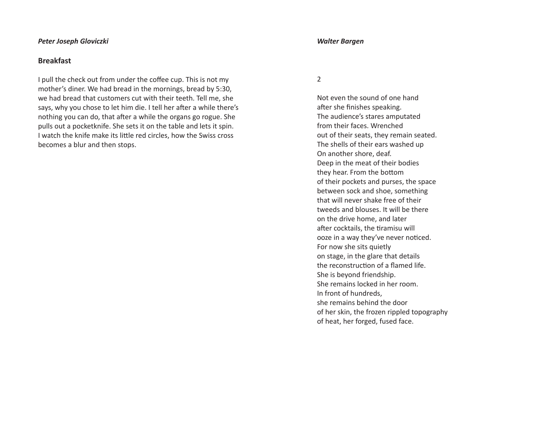#### *Peter Joseph Gloviczki*

# **Breakfast**

I pull the check out from under the coffee cup. This is not my mother's diner. We had bread in the mornings, bread by 5:30, we had bread that customers cut with their teeth. Tell me, she says, why you chose to let him die. I tell her after a while there's nothing you can do, that after a while the organs go rogue. She pulls out a pocketknife. She sets it on the table and lets it spin. I watch the knife make its little red circles, how the Swiss cross becomes a blur and then stops.

#### *Walter Bargen*

2

Not even the sound of one hand after she finishes speaking. The audience's stares amputated from their faces. Wrenched out of their seats, they remain seated. The shells of their ears washed up On another shore, deaf. Deep in the meat of their bodies they hear. From the bottom of their pockets and purses, the space between sock and shoe, something that will never shake free of their tweeds and blouses. It will be there on the drive home, and later after cocktails, the tiramisu will ooze in a way they've never noticed. For now she sits quietly on stage, in the glare that details the reconstruction of a flamed life. She is beyond friendship. She remains locked in her room. In front of hundreds, she remains behind the door of her skin, the frozen rippled topography of heat, her forged, fused face.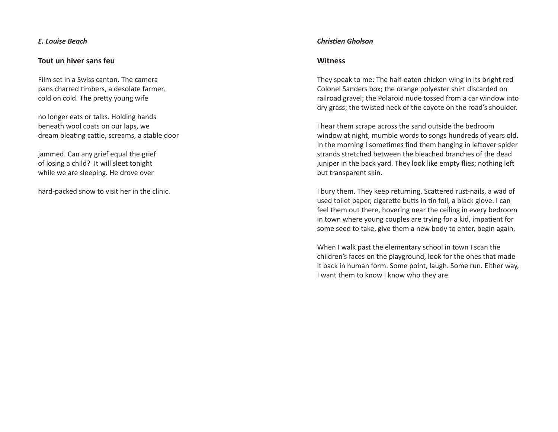### *E. Louise Beach*

# **Tout un hiver sans feu**

Film set in a Swiss canton. The camera pans charred timbers, a desolate farmer, cold on cold. The pretty young wife

no longer eats or talks. Holding hands beneath wool coats on our laps, we dream bleating cattle, screams, a stable door

jammed. Can any grief equal the grief of losing a child? It will sleet tonight while we are sleeping. He drove over

hard-packed snow to visit her in the clinic.

#### *Christi en Gholson*

#### **Witness**

They speak to me: The half-eaten chicken wing in its bright red Colonel Sanders box; the orange polyester shirt discarded on railroad gravel; the Polaroid nude tossed from a car window into dry grass; the twisted neck of the coyote on the road's shoulder.

I hear them scrape across the sand outside the bedroom window at night, mumble words to songs hundreds of years old. In the morning I sometimes find them hanging in leftover spider strands stretched between the bleached branches of the dead juniper in the back yard. They look like empty flies; nothing left but transparent skin.

I bury them. They keep returning. Scattered rust-nails, a wad of used toilet paper, cigarette butts in tin foil, a black glove. I can feel them out there, hovering near the ceiling in every bedroom in town where young couples are trying for a kid, impatient for some seed to take, give them a new body to enter, begin again.

When I walk past the elementary school in town I scan the children's faces on the playground, look for the ones that made it back in human form. Some point, laugh. Some run. Either way, I want them to know I know who they are.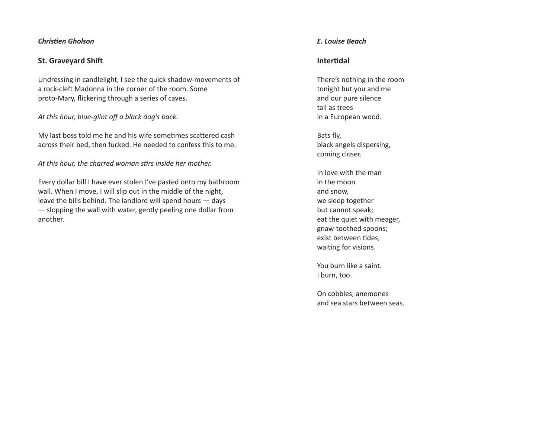### *Chris ti en Gholson*

# **St. Graveyard Shi ft**

Undressing in candlelight, I see the quick shadow-movements of a rock-cle ft Madonna in the corner of the room. Some proto-Mary, flickering through a series of caves.

### *At this hour, blue-glint off a black dog's back.*

My last boss told me he and his wife sometimes scattered cash across their bed, then fucked. He needed to confess this to me.

*At this hour, the charred woman s ti rs inside her mother.*

Every dollar bill I have ever stolen I've pasted onto my bathroom wall. When I move, I will slip out in the middle of the night, leave the bills behind. The landlord will spend hours — days — slopping the wall with water, gently peeling one dollar from another.

# *E. Louise Beach*

# **Inter ti dal**

There's nothing in the room tonight but you and me and our pure silence tall as trees in a European wood.

Bats fly, black angels dispersing, coming closer.

In love with the man in the moon and snow, we sleep together but cannot speak; eat the quiet with meager, gnaw-toothed spoons; exist between tides, waiting for visions.

You burn like a saint. I burn, too.

On cobbles, anemones and sea stars between seas.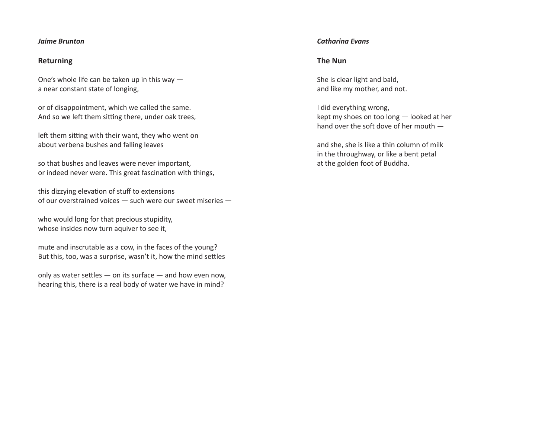### *Jaime Brunton*

# **Returning**

One's whole life can be taken up in this way a near constant state of longing,

or of disappointment, which we called the same. And so we left them sitting there, under oak trees,

left them sitting with their want, they who went on about verbena bushes and falling leaves

so that bushes and leaves were never important, or indeed never were. This great fascination with things,

this dizzying elevation of stuff to extensions of our overstrained voices — such were our sweet miseries —

who would long for that precious stupidity, whose insides now turn aquiver to see it,

mute and inscrutable as a cow, in the faces of the young? But this, too, was a surprise, wasn't it, how the mind settles

only as water settles  $-$  on its surface  $-$  and how even now, hearing this, there is a real body of water we have in mind?

# *Catharina Evans*

# **The Nun**

She is clear light and bald, and like my mother, and not.

I did everything wrong, kept my shoes on too long — looked at her hand over the soft dove of her mouth —

and she, she is like a thin column of milk in the throughway, or like a bent petal at the golden foot of Buddha.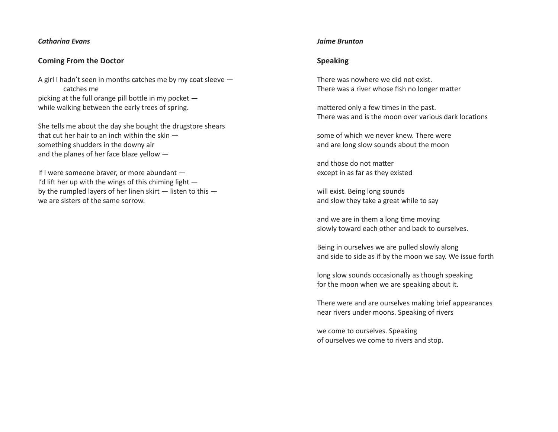#### *Catharina Evans*

# **Coming From the Doctor**

A girl I hadn't seen in months catches me by my coat sleeve catches me picking at the full orange pill bottle in my pocket  $$ while walking between the early trees of spring.

She tells me about the day she bought the drugstore shears that cut her hair to an inch within the skin something shudders in the downy air and the planes of her face blaze yellow —

If I were someone braver, or more abundant — I'd li ft her up with the wings of this chiming light by the rumpled layers of her linen skirt — listen to this we are sisters of the same sorrow.

#### *Jaime Brunton*

# **Speaking**

There was nowhere we did not exist. There was a river whose fish no longer matter

mattered only a few times in the past. There was and is the moon over various dark locations

some of which we never knew. There were and are long slow sounds about the moon

and those do not matter except in as far as they existed

will exist. Being long sounds and slow they take a great while to say

and we are in them a long time moving slowly toward each other and back to ourselves.

Being in ourselves we are pulled slowly along and side to side as if by the moon we say. We issue forth

long slow sounds occasionally as though speaking for the moon when we are speaking about it.

There were and are ourselves making brief appearances near rivers under moons. Speaking of rivers

we come to ourselves. Speaking of ourselves we come to rivers and stop.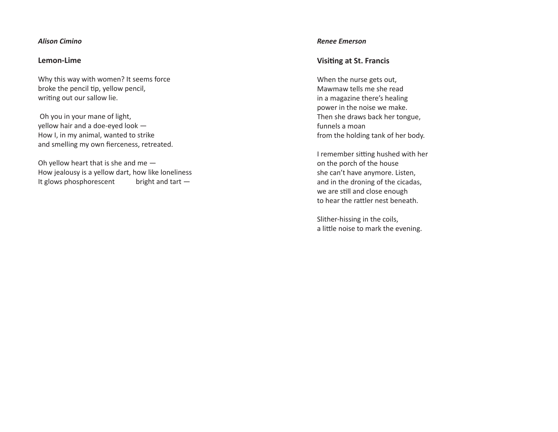### *Alison Cimino*

# **Lemon-Lime**

Why this way with women? It seems force broke the pencil tip, yellow pencil, writing out our sallow lie.

 Oh you in your mane of light, yellow hair and a doe-eyed look — How I, in my animal, wanted to strike and smelling my own fierceness, retreated.

Oh yellow heart that is she and me — How jealousy is a yellow dart, how like loneliness It glows phosphorescent bright and tart  $-$ 

#### *Renee Emerson*

# **Visiti ng at St. Francis**

When the nurse gets out, Mawmaw tells me she read in a magazine there's healing power in the noise we make. Then she draws back her tongue, funnels a moan from the holding tank of her body.

I remember sitting hushed with her on the porch of the house she can't have anymore. Listen, and in the droning of the cicadas, we are still and close enough to hear the rattler nest beneath.

Slither-hissing in the coils, a little noise to mark the evening.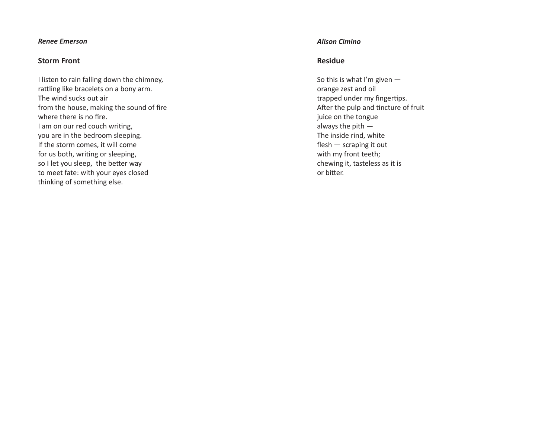#### *Renee Emerson*

# **Storm Front**

I listen to rain falling down the chimney, rattling like bracelets on a bony arm. The wind sucks out air from the house, making the sound of fire where there is no fire. I am on our red couch writing, you are in the bedroom sleeping. If the storm comes, it will come for us both, writing or sleeping, so I let you sleep, the better way to meet fate: with your eyes closed thinking of something else.

#### *Alison Cimino*

# **Residue**

So this is what I'm given orange zest and oil trapped under my fingertips. After the pulp and tincture of fruit juice on the tongue always the pith — The inside rind, white  $f$ lesh  $-$  scraping it out with my front teeth; chewing it, tasteless as it is or bitter.